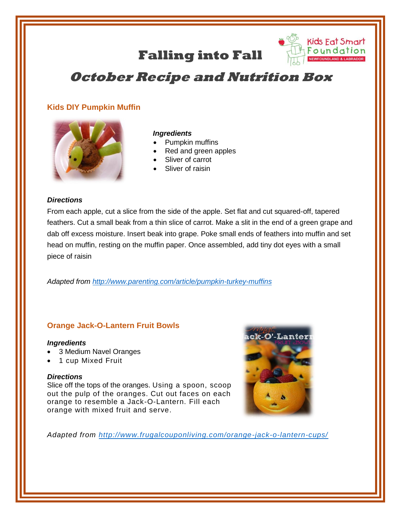# **Falling into Fall**



## **October Recipe and Nutrition Box**

## **Kids DIY Pumpkin Muffin**



#### *Ingredients*

- Pumpkin muffins
- Red and green apples
- Sliver of carrot
- Sliver of raisin

#### *Directions*

From each apple, cut a slice from the side of the apple. Set flat and cut squared-off, tapered feathers. Cut a small beak from a thin slice of carrot. Make a slit in the end of a green grape and dab off excess moisture. Insert beak into grape. Poke small ends of feathers into muffin and set head on muffin, resting on the muffin paper. Once assembled, add tiny dot eyes with a small piece of raisin

*Adapted from<http://www.parenting.com/article/pumpkin-turkey-muffins>*

### **Orange Jack-O-Lantern Fruit Bowls**

#### *Ingredients*

- 3 Medium Navel Oranges
- 1 cup Mixed Fruit

#### *Directions*

Slice off the tops of the oranges. Using a spoon, scoop out the pulp of the oranges. Cut out faces on each orange to resemble a Jack-O-Lantern. Fill each orange with mixed fruit and serve.



*Adapted from<http://www.frugalcouponliving.com/orange-jack-o-lantern-cups/>*